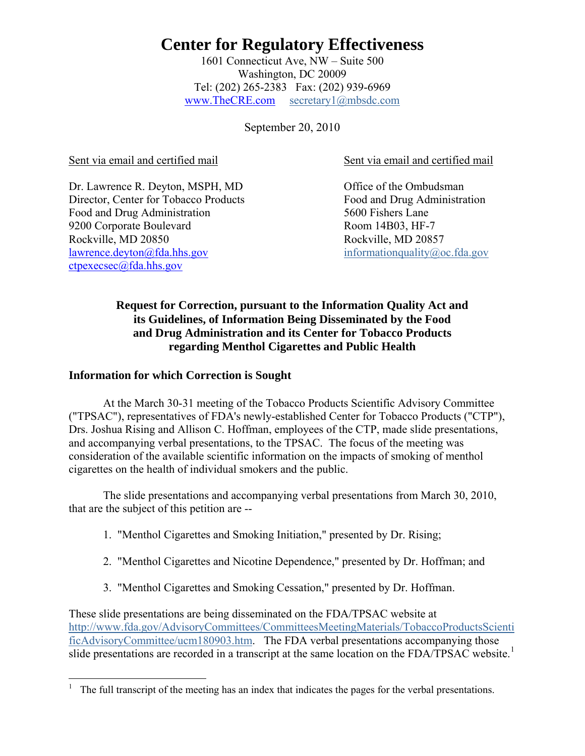1601 Connecticut Ave, NW – Suite 500 Washington, DC 20009 Tel: (202) 265-2383 Fax: (202) 939-6969 www.TheCRE.com secretary1@mbsdc.com

September 20, 2010

Dr. Lawrence R. Deyton, MSPH, MD Office of the Ombudsman Director, Center for Tobacco Products Food and Drug Administration Food and Drug Administration 5600 Fishers Lane 9200 Corporate Boulevard Room 14B03, HF-7 Rockville, MD 20850 Rockville, MD 20857 [lawrence.deyton@fda.hhs.gov](mailto:lawrence.deyton@fda.hhs.gov) informationquality@oc.fda.gov [ctpexecsec@fda.hhs.gov](mailto:ctpexecsec@fda.hhs.gov) 

Sent via email and certified mail Sent via email and certified mail

## **Request for Correction, pursuant to the Information Quality Act and its Guidelines, of Information Being Disseminated by the Food and Drug Administration and its Center for Tobacco Products regarding Menthol Cigarettes and Public Health**

### **Information for which Correction is Sought**

At the March 30-31 meeting of the Tobacco Products Scientific Advisory Committee ("TPSAC"), representatives of FDA's newly-established Center for Tobacco Products ("CTP"), Drs. Joshua Rising and Allison C. Hoffman, employees of the CTP, made slide presentations, and accompanying verbal presentations, to the TPSAC. The focus of the meeting was consideration of the available scientific information on the impacts of smoking of menthol cigarettes on the health of individual smokers and the public.

 The slide presentations and accompanying verbal presentations from March 30, 2010, that are the subject of this petition are --

- 1. "Menthol Cigarettes and Smoking Initiation," presented by Dr. Rising;
- 2. "Menthol Cigarettes and Nicotine Dependence," presented by Dr. Hoffman; and
- 3. "Menthol Cigarettes and Smoking Cessation," presented by Dr. Hoffman.

These slide presentations are being disseminated on the FDA/TPSAC website at [http://www.fda.gov/AdvisoryCommittees/CommitteesMeetingMaterials/TobaccoProductsScienti](http://www.fda.gov/AdvisoryCommittees/CommitteesMeetingMaterials/TobaccoProductsScientificAdvisoryCommittee/ucm180903.htm) [ficAdvisoryCommittee/ucm180903.htm](http://www.fda.gov/AdvisoryCommittees/CommitteesMeetingMaterials/TobaccoProductsScientificAdvisoryCommittee/ucm180903.htm). The FDA verbal presentations accompanying those slide presentations are recorded in a transcript at the same location on the FDA/TPSAC website.<sup>[1](#page-0-0)</sup>

<span id="page-0-0"></span> $\overline{a}$ 1 The full transcript of the meeting has an index that indicates the pages for the verbal presentations.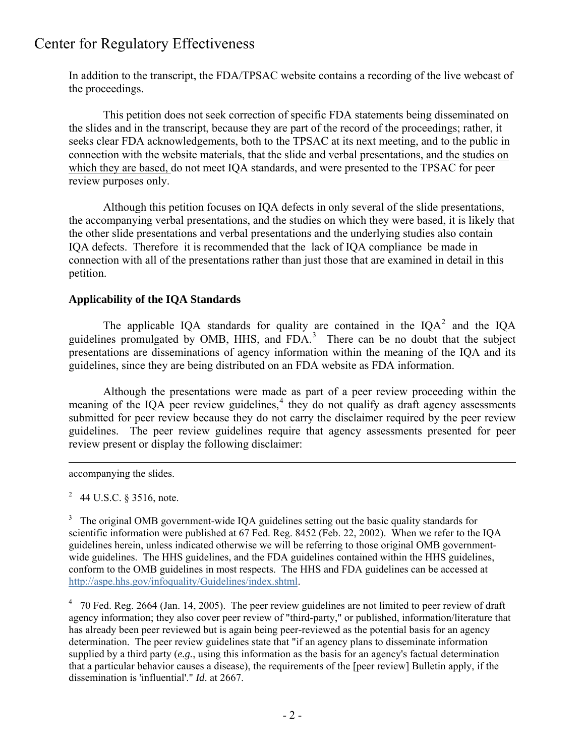In addition to the transcript, the FDA/TPSAC website contains a recording of the live webcast of the proceedings.

 This petition does not seek correction of specific FDA statements being disseminated on the slides and in the transcript, because they are part of the record of the proceedings; rather, it seeks clear FDA acknowledgements, both to the TPSAC at its next meeting, and to the public in connection with the website materials, that the slide and verbal presentations, and the studies on which they are based, do not meet IQA standards, and were presented to the TPSAC for peer review purposes only.

 Although this petition focuses on IQA defects in only several of the slide presentations, the accompanying verbal presentations, and the studies on which they were based, it is likely that the other slide presentations and verbal presentations and the underlying studies also contain IQA defects. Therefore it is recommended that the lack of IQA compliance be made in connection with all of the presentations rather than just those that are examined in detail in this petition.

### **Applicability of the IQA Standards**

The applicable IQA standards for quality are contained in the IQA<sup>[2](#page-1-0)</sup> and the IQA guidelines promulgated by OMB, HHS, and FDA.<sup>[3](#page-1-1)</sup> There can be no doubt that the subject presentations are disseminations of agency information within the meaning of the IQA and its guidelines, since they are being distributed on an FDA website as FDA information.

 Although the presentations were made as part of a peer review proceeding within the meaning of the IQA peer review guidelines, $4$  they do not qualify as draft agency assessments submitted for peer review because they do not carry the disclaimer required by the peer review guidelines. The peer review guidelines require that agency assessments presented for peer review present or display the following disclaimer:

accompanying the slides.

 $\overline{a}$ 

<span id="page-1-0"></span><sup>2</sup> 44 U.S.C. § 3516, note.

<span id="page-1-1"></span><sup>3</sup> The original OMB government-wide IQA guidelines setting out the basic quality standards for scientific information were published at 67 Fed. Reg. 8452 (Feb. 22, 2002). When we refer to the IQA guidelines herein, unless indicated otherwise we will be referring to those original OMB governmentwide guidelines. The HHS guidelines, and the FDA guidelines contained within the HHS guidelines, conform to the OMB guidelines in most respects. The HHS and FDA guidelines can be accessed at [http://aspe.hhs.gov/infoquality/Guidelines/index.shtml.](http://aspe.hhs.gov/infoquality/Guidelines/index.shtml)

<span id="page-1-2"></span><sup>4</sup> 70 Fed. Reg. 2664 (Jan. 14, 2005). The peer review guidelines are not limited to peer review of draft agency information; they also cover peer review of "third-party," or published, information/literature that has already been peer reviewed but is again being peer-reviewed as the potential basis for an agency determination. The peer review guidelines state that "if an agency plans to disseminate information supplied by a third party (*e.g.*, using this information as the basis for an agency's factual determination that a particular behavior causes a disease), the requirements of the [peer review] Bulletin apply, if the dissemination is 'influential'." *Id*. at 2667.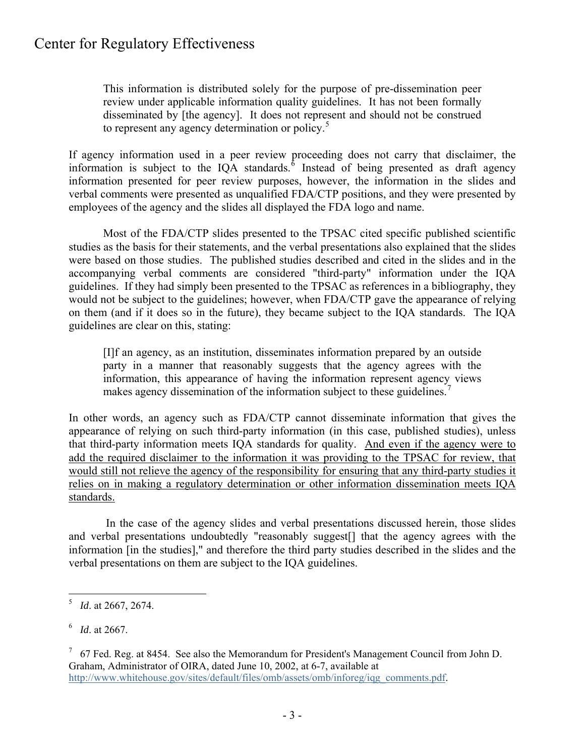This information is distributed solely for the purpose of pre-dissemination peer review under applicable information quality guidelines. It has not been formally disseminated by [the agency]. It does not represent and should not be construed to represent any agency determination or policy.<sup>[5](#page-2-0)</sup>

If agency information used in a peer review proceeding does not carry that disclaimer, the information is subject to the IQA standards. $\delta$  Instead of being presented as draft agency information presented for peer review purposes, however, the information in the slides and verbal comments were presented as unqualified FDA/CTP positions, and they were presented by employees of the agency and the slides all displayed the FDA logo and name.

 Most of the FDA/CTP slides presented to the TPSAC cited specific published scientific studies as the basis for their statements, and the verbal presentations also explained that the slides were based on those studies. The published studies described and cited in the slides and in the accompanying verbal comments are considered "third-party" information under the IQA guidelines. If they had simply been presented to the TPSAC as references in a bibliography, they would not be subject to the guidelines; however, when FDA/CTP gave the appearance of relying on them (and if it does so in the future), they became subject to the IQA standards. The IQA guidelines are clear on this, stating:

[I]f an agency, as an institution, disseminates information prepared by an outside party in a manner that reasonably suggests that the agency agrees with the information, this appearance of having the information represent agency views makes agency dissemination of the information subject to these guidelines.<sup>[7](#page-2-2)</sup>

In other words, an agency such as FDA/CTP cannot disseminate information that gives the appearance of relying on such third-party information (in this case, published studies), unless that third-party information meets IQA standards for quality. And even if the agency were to add the required disclaimer to the information it was providing to the TPSAC for review, that would still not relieve the agency of the responsibility for ensuring that any third-party studies it relies on in making a regulatory determination or other information dissemination meets IQA standards.

 In the case of the agency slides and verbal presentations discussed herein, those slides and verbal presentations undoubtedly "reasonably suggest[] that the agency agrees with the information [in the studies]," and therefore the third party studies described in the slides and the verbal presentations on them are subject to the IQA guidelines.

1

<span id="page-2-0"></span><sup>5</sup> *Id*. at 2667, 2674.

<span id="page-2-1"></span><sup>6</sup> *Id*. at 2667.

<span id="page-2-2"></span> $7\,$  67 Fed. Reg. at 8454. See also the Memorandum for President's Management Council from John D. Graham, Administrator of OIRA, dated June 10, 2002, at 6-7, available at [http://www.whitehouse.gov/sites/default/files/omb/assets/omb/inforeg/iqg\\_comments.pdf](http://www.whitehouse.gov/sites/default/files/omb/assets/omb/inforeg/iqg_comments.pdf).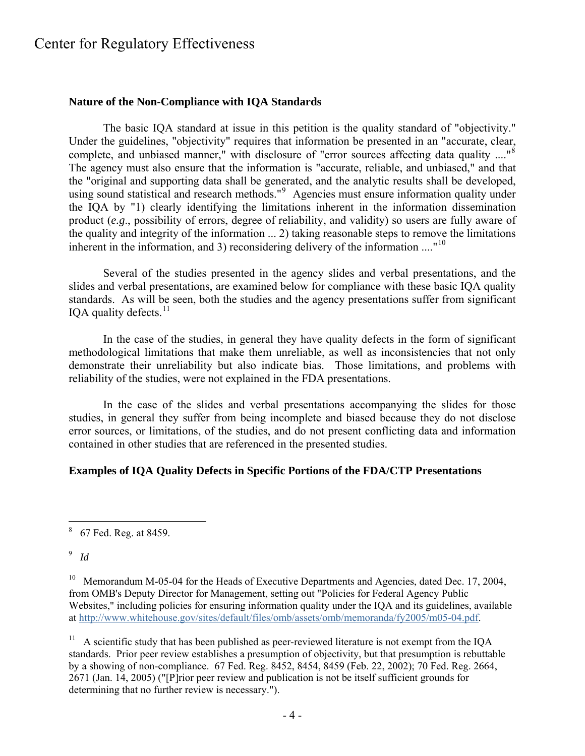#### **Nature of the Non-Compliance with IQA Standards**

The basic IQA standard at issue in this petition is the quality standard of "objectivity." Under the guidelines, "objectivity" requires that information be presented in an "accurate, clear, complete, and unbiased manner," with disclosure of "error sources affecting data quality ...."<sup>[8](#page-3-0)</sup> The agency must also ensure that the information is "accurate, reliable, and unbiased," and that the "original and supporting data shall be generated, and the analytic results shall be developed, using sound statistical and research methods."<sup>[9](#page-3-1)</sup> Agencies must ensure information quality under the IQA by "1) clearly identifying the limitations inherent in the information dissemination product (*e.g*., possibility of errors, degree of reliability, and validity) so users are fully aware of the quality and integrity of the information ... 2) taking reasonable steps to remove the limitations inherent in the information, and 3) reconsidering delivery of the information  $\ldots$ <sup>[10](#page-3-2)</sup>

Several of the studies presented in the agency slides and verbal presentations, and the slides and verbal presentations, are examined below for compliance with these basic IQA quality standards. As will be seen, both the studies and the agency presentations suffer from significant IOA quality defects. $11$ 

 In the case of the studies, in general they have quality defects in the form of significant methodological limitations that make them unreliable, as well as inconsistencies that not only demonstrate their unreliability but also indicate bias. Those limitations, and problems with reliability of the studies, were not explained in the FDA presentations.

 In the case of the slides and verbal presentations accompanying the slides for those studies, in general they suffer from being incomplete and biased because they do not disclose error sources, or limitations, of the studies, and do not present conflicting data and information contained in other studies that are referenced in the presented studies.

#### **Examples of IQA Quality Defects in Specific Portions of the FDA/CTP Presentations**

# <span id="page-3-1"></span>9 *Id*

1

<span id="page-3-2"></span><sup>10</sup> Memorandum M-05-04 for the Heads of Executive Departments and Agencies, dated Dec. 17, 2004, from OMB's Deputy Director for Management, setting out "Policies for Federal Agency Public Websites," including policies for ensuring information quality under the IQA and its guidelines, available at [http://www.whitehouse.gov/sites/default/files/omb/assets/omb/memoranda/fy2005/m05-04.pdf.](http://www.whitehouse.gov/sites/default/files/omb/assets/omb/memoranda/fy2005/m05-04.pdf)

<span id="page-3-3"></span> $11$  A scientific study that has been published as peer-reviewed literature is not exempt from the IQA standards. Prior peer review establishes a presumption of objectivity, but that presumption is rebuttable by a showing of non-compliance. 67 Fed. Reg. 8452, 8454, 8459 (Feb. 22, 2002); 70 Fed. Reg. 2664, 2671 (Jan. 14, 2005) ("[P]rior peer review and publication is not be itself sufficient grounds for determining that no further review is necessary.").

<span id="page-3-0"></span><sup>&</sup>lt;sup>8</sup> 67 Fed. Reg. at 8459.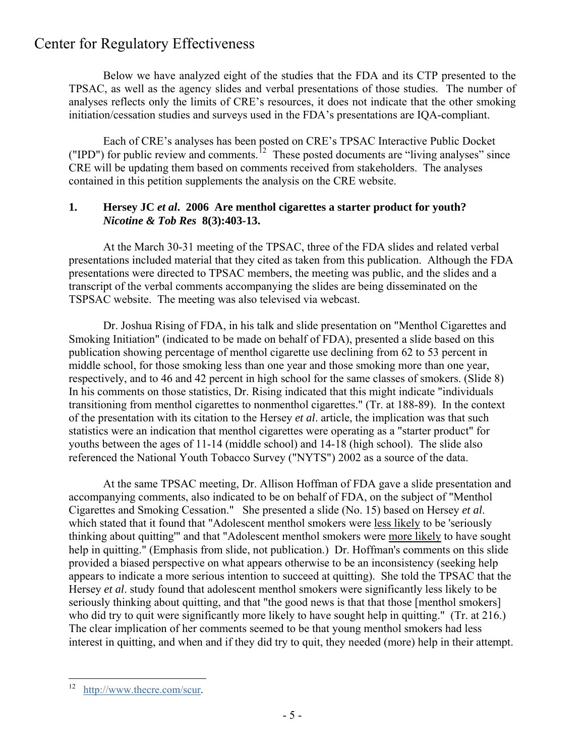Below we have analyzed eight of the studies that the FDA and its CTP presented to the TPSAC, as well as the agency slides and verbal presentations of those studies. The number of analyses reflects only the limits of CRE's resources, it does not indicate that the other smoking initiation/cessation studies and surveys used in the FDA's presentations are IQA-compliant.

 Each of CRE's analyses has been posted on CRE's TPSAC Interactive Public Docket ("IPD") for public review and comments.<sup>[12](#page-4-0)</sup> These posted documents are "living analyses" since CRE will be updating them based on comments received from stakeholders. The analyses contained in this petition supplements the analysis on the CRE website.

### **1. Hersey JC** *et al***. 2006 Are menthol cigarettes a starter product for youth?**  *Nicotine & Tob Res* **8(3):403-13.**

 At the March 30-31 meeting of the TPSAC, three of the FDA slides and related verbal presentations included material that they cited as taken from this publication. Although the FDA presentations were directed to TPSAC members, the meeting was public, and the slides and a transcript of the verbal comments accompanying the slides are being disseminated on the TSPSAC website. The meeting was also televised via webcast.

 Dr. Joshua Rising of FDA, in his talk and slide presentation on "Menthol Cigarettes and Smoking Initiation" (indicated to be made on behalf of FDA), presented a slide based on this publication showing percentage of menthol cigarette use declining from 62 to 53 percent in middle school, for those smoking less than one year and those smoking more than one year, respectively, and to 46 and 42 percent in high school for the same classes of smokers. (Slide 8) In his comments on those statistics, Dr. Rising indicated that this might indicate "individuals transitioning from menthol cigarettes to nonmenthol cigarettes." (Tr. at 188-89). In the context of the presentation with its citation to the Hersey *et al*. article, the implication was that such statistics were an indication that menthol cigarettes were operating as a "starter product" for youths between the ages of 11-14 (middle school) and 14-18 (high school). The slide also referenced the National Youth Tobacco Survey ("NYTS") 2002 as a source of the data.

 At the same TPSAC meeting, Dr. Allison Hoffman of FDA gave a slide presentation and accompanying comments, also indicated to be on behalf of FDA, on the subject of "Menthol Cigarettes and Smoking Cessation." She presented a slide (No. 15) based on Hersey *et al*. which stated that it found that "Adolescent menthol smokers were less likely to be 'seriously thinking about quitting'" and that "Adolescent menthol smokers were more likely to have sought help in quitting." (Emphasis from slide, not publication.) Dr. Hoffman's comments on this slide provided a biased perspective on what appears otherwise to be an inconsistency (seeking help appears to indicate a more serious intention to succeed at quitting). She told the TPSAC that the Hersey *et al*. study found that adolescent menthol smokers were significantly less likely to be seriously thinking about quitting, and that "the good news is that that those [menthol smokers] who did try to quit were significantly more likely to have sought help in quitting." (Tr. at 216.) The clear implication of her comments seemed to be that young menthol smokers had less interest in quitting, and when and if they did try to quit, they needed (more) help in their attempt.

<span id="page-4-0"></span><sup>12</sup> [http://www.thecre.com/scur](http://www.thecre.com/scur/).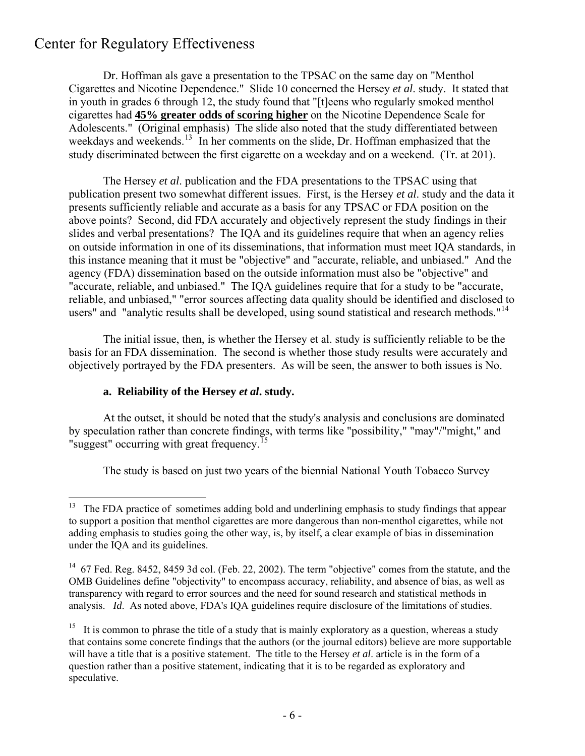Dr. Hoffman als gave a presentation to the TPSAC on the same day on "Menthol Cigarettes and Nicotine Dependence." Slide 10 concerned the Hersey *et al*. study. It stated that in youth in grades 6 through 12, the study found that "[t]eens who regularly smoked menthol cigarettes had **45% greater odds of scoring higher** on the Nicotine Dependence Scale for Adolescents." (Original emphasis) The slide also noted that the study differentiated between weekdays and weekends.<sup>[13](#page-5-0)</sup> In her comments on the slide, Dr. Hoffman emphasized that the study discriminated between the first cigarette on a weekday and on a weekend. (Tr. at 201).

 The Hersey *et al*. publication and the FDA presentations to the TPSAC using that publication present two somewhat different issues. First, is the Hersey *et al*. study and the data it presents sufficiently reliable and accurate as a basis for any TPSAC or FDA position on the above points? Second, did FDA accurately and objectively represent the study findings in their slides and verbal presentations? The IQA and its guidelines require that when an agency relies on outside information in one of its disseminations, that information must meet IQA standards, in this instance meaning that it must be "objective" and "accurate, reliable, and unbiased." And the agency (FDA) dissemination based on the outside information must also be "objective" and "accurate, reliable, and unbiased." The IQA guidelines require that for a study to be "accurate, reliable, and unbiased," "error sources affecting data quality should be identified and disclosed to users" and "analytic results shall be developed, using sound statistical and research methods."<sup>[14](#page-5-1)</sup>

 The initial issue, then, is whether the Hersey et al. study is sufficiently reliable to be the basis for an FDA dissemination. The second is whether those study results were accurately and objectively portrayed by the FDA presenters. As will be seen, the answer to both issues is No.

### **a. Reliability of the Hersey** *et al***. study.**

 At the outset, it should be noted that the study's analysis and conclusions are dominated by speculation rather than concrete findings, with terms like "possibility," "may"/"might," and "suggest" occurring with great frequency.<sup>[15](#page-5-2)</sup>

The study is based on just two years of the biennial National Youth Tobacco Survey

<span id="page-5-0"></span><sup>13</sup> The FDA practice of sometimes adding bold and underlining emphasis to study findings that appear to support a position that menthol cigarettes are more dangerous than non-menthol cigarettes, while not adding emphasis to studies going the other way, is, by itself, a clear example of bias in dissemination under the IQA and its guidelines.

<span id="page-5-1"></span><sup>&</sup>lt;sup>14</sup> 67 Fed. Reg. 8452, 8459 3d col. (Feb. 22, 2002). The term "objective" comes from the statute, and the OMB Guidelines define "objectivity" to encompass accuracy, reliability, and absence of bias, as well as transparency with regard to error sources and the need for sound research and statistical methods in analysis. *Id*. As noted above, FDA's IQA guidelines require disclosure of the limitations of studies.

<span id="page-5-2"></span><sup>&</sup>lt;sup>15</sup> It is common to phrase the title of a study that is mainly exploratory as a question, whereas a study that contains some concrete findings that the authors (or the journal editors) believe are more supportable will have a title that is a positive statement. The title to the Hersey *et al*. article is in the form of a question rather than a positive statement, indicating that it is to be regarded as exploratory and speculative.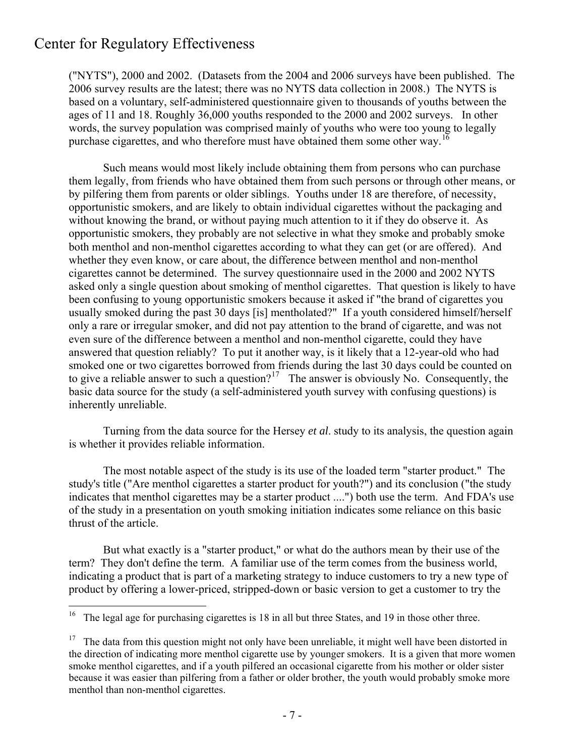1

("NYTS"), 2000 and 2002. (Datasets from the 2004 and 2006 surveys have been published. The 2006 survey results are the latest; there was no NYTS data collection in 2008.) The NYTS is based on a voluntary, self-administered questionnaire given to thousands of youths between the ages of 11 and 18. Roughly 36,000 youths responded to the 2000 and 2002 surveys. In other words, the survey population was comprised mainly of youths who were too young to legally purchase cigarettes, and who therefore must have obtained them some other way.<sup>[16](#page-6-0)</sup>

 Such means would most likely include obtaining them from persons who can purchase them legally, from friends who have obtained them from such persons or through other means, or by pilfering them from parents or older siblings. Youths under 18 are therefore, of necessity, opportunistic smokers, and are likely to obtain individual cigarettes without the packaging and without knowing the brand, or without paying much attention to it if they do observe it. As opportunistic smokers, they probably are not selective in what they smoke and probably smoke both menthol and non-menthol cigarettes according to what they can get (or are offered). And whether they even know, or care about, the difference between menthol and non-menthol cigarettes cannot be determined. The survey questionnaire used in the 2000 and 2002 NYTS asked only a single question about smoking of menthol cigarettes. That question is likely to have been confusing to young opportunistic smokers because it asked if "the brand of cigarettes you usually smoked during the past 30 days [is] mentholated?" If a youth considered himself/herself only a rare or irregular smoker, and did not pay attention to the brand of cigarette, and was not even sure of the difference between a menthol and non-menthol cigarette, could they have answered that question reliably? To put it another way, is it likely that a 12-year-old who had smoked one or two cigarettes borrowed from friends during the last 30 days could be counted on to give a reliable answer to such a question?<sup>[17](#page-6-1)</sup> The answer is obviously No. Consequently, the basic data source for the study (a self-administered youth survey with confusing questions) is inherently unreliable.

 Turning from the data source for the Hersey *et al*. study to its analysis, the question again is whether it provides reliable information.

 The most notable aspect of the study is its use of the loaded term "starter product." The study's title ("Are menthol cigarettes a starter product for youth?") and its conclusion ("the study indicates that menthol cigarettes may be a starter product ....") both use the term. And FDA's use of the study in a presentation on youth smoking initiation indicates some reliance on this basic thrust of the article.

 But what exactly is a "starter product," or what do the authors mean by their use of the term? They don't define the term. A familiar use of the term comes from the business world, indicating a product that is part of a marketing strategy to induce customers to try a new type of product by offering a lower-priced, stripped-down or basic version to get a customer to try the

<span id="page-6-0"></span><sup>&</sup>lt;sup>16</sup> The legal age for purchasing cigarettes is 18 in all but three States, and 19 in those other three.

<span id="page-6-1"></span> $17$  The data from this question might not only have been unreliable, it might well have been distorted in the direction of indicating more menthol cigarette use by younger smokers. It is a given that more women smoke menthol cigarettes, and if a youth pilfered an occasional cigarette from his mother or older sister because it was easier than pilfering from a father or older brother, the youth would probably smoke more menthol than non-menthol cigarettes.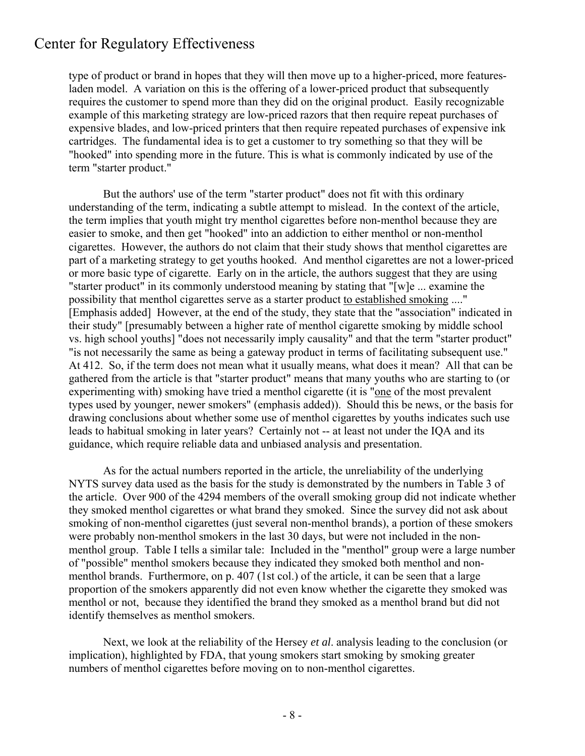type of product or brand in hopes that they will then move up to a higher-priced, more featuresladen model. A variation on this is the offering of a lower-priced product that subsequently requires the customer to spend more than they did on the original product. Easily recognizable example of this marketing strategy are low-priced razors that then require repeat purchases of expensive blades, and low-priced printers that then require repeated purchases of expensive ink cartridges. The fundamental idea is to get a customer to try something so that they will be "hooked" into spending more in the future. This is what is commonly indicated by use of the term "starter product."

 But the authors' use of the term "starter product" does not fit with this ordinary understanding of the term, indicating a subtle attempt to mislead. In the context of the article, the term implies that youth might try menthol cigarettes before non-menthol because they are easier to smoke, and then get "hooked" into an addiction to either menthol or non-menthol cigarettes. However, the authors do not claim that their study shows that menthol cigarettes are part of a marketing strategy to get youths hooked. And menthol cigarettes are not a lower-priced or more basic type of cigarette. Early on in the article, the authors suggest that they are using "starter product" in its commonly understood meaning by stating that "[w]e ... examine the possibility that menthol cigarettes serve as a starter product to established smoking ...." [Emphasis added] However, at the end of the study, they state that the "association" indicated in their study" [presumably between a higher rate of menthol cigarette smoking by middle school vs. high school youths] "does not necessarily imply causality" and that the term "starter product" "is not necessarily the same as being a gateway product in terms of facilitating subsequent use." At 412. So, if the term does not mean what it usually means, what does it mean? All that can be gathered from the article is that "starter product" means that many youths who are starting to (or experimenting with) smoking have tried a menthol cigarette (it is "one of the most prevalent types used by younger, newer smokers" (emphasis added)). Should this be news, or the basis for drawing conclusions about whether some use of menthol cigarettes by youths indicates such use leads to habitual smoking in later years? Certainly not -- at least not under the IQA and its guidance, which require reliable data and unbiased analysis and presentation.

 As for the actual numbers reported in the article, the unreliability of the underlying NYTS survey data used as the basis for the study is demonstrated by the numbers in Table 3 of the article. Over 900 of the 4294 members of the overall smoking group did not indicate whether they smoked menthol cigarettes or what brand they smoked. Since the survey did not ask about smoking of non-menthol cigarettes (just several non-menthol brands), a portion of these smokers were probably non-menthol smokers in the last 30 days, but were not included in the nonmenthol group. Table I tells a similar tale: Included in the "menthol" group were a large number of "possible" menthol smokers because they indicated they smoked both menthol and nonmenthol brands. Furthermore, on p. 407 (1st col.) of the article, it can be seen that a large proportion of the smokers apparently did not even know whether the cigarette they smoked was menthol or not, because they identified the brand they smoked as a menthol brand but did not identify themselves as menthol smokers.

 Next, we look at the reliability of the Hersey *et al*. analysis leading to the conclusion (or implication), highlighted by FDA, that young smokers start smoking by smoking greater numbers of menthol cigarettes before moving on to non-menthol cigarettes.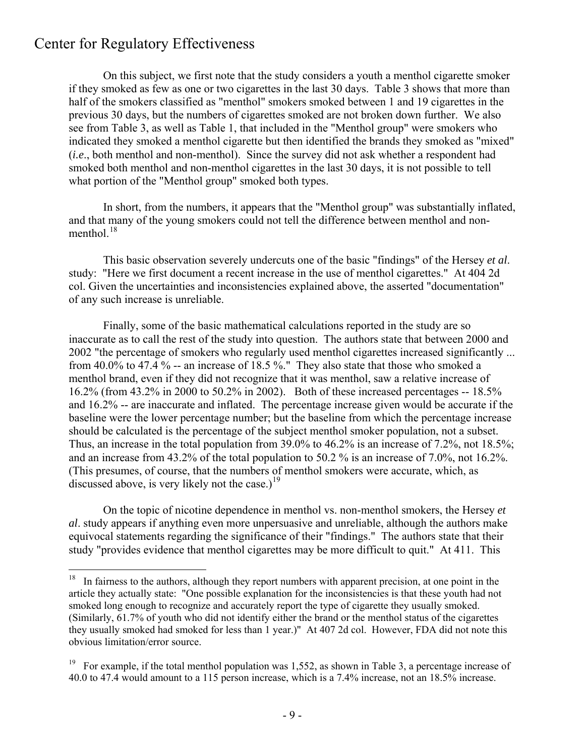On this subject, we first note that the study considers a youth a menthol cigarette smoker if they smoked as few as one or two cigarettes in the last 30 days. Table 3 shows that more than half of the smokers classified as "menthol" smokers smoked between 1 and 19 cigarettes in the previous 30 days, but the numbers of cigarettes smoked are not broken down further. We also see from Table 3, as well as Table 1, that included in the "Menthol group" were smokers who indicated they smoked a menthol cigarette but then identified the brands they smoked as "mixed" (*i.e*., both menthol and non-menthol). Since the survey did not ask whether a respondent had smoked both menthol and non-menthol cigarettes in the last 30 days, it is not possible to tell what portion of the "Menthol group" smoked both types.

 In short, from the numbers, it appears that the "Menthol group" was substantially inflated, and that many of the young smokers could not tell the difference between menthol and nonmenthol. $^{18}$  $^{18}$  $^{18}$ 

 This basic observation severely undercuts one of the basic "findings" of the Hersey *et al*. study: "Here we first document a recent increase in the use of menthol cigarettes." At 404 2d col. Given the uncertainties and inconsistencies explained above, the asserted "documentation" of any such increase is unreliable.

 Finally, some of the basic mathematical calculations reported in the study are so inaccurate as to call the rest of the study into question. The authors state that between 2000 and 2002 "the percentage of smokers who regularly used menthol cigarettes increased significantly ... from 40.0% to 47.4 % -- an increase of 18.5 %." They also state that those who smoked a menthol brand, even if they did not recognize that it was menthol, saw a relative increase of 16.2% (from 43.2% in 2000 to 50.2% in 2002). Both of these increased percentages -- 18.5% and 16.2% -- are inaccurate and inflated. The percentage increase given would be accurate if the baseline were the lower percentage number; but the baseline from which the percentage increase should be calculated is the percentage of the subject menthol smoker population, not a subset. Thus, an increase in the total population from 39.0% to 46.2% is an increase of 7.2%, not 18.5%; and an increase from 43.2% of the total population to 50.2 % is an increase of 7.0%, not 16.2%. (This presumes, of course, that the numbers of menthol smokers were accurate, which, as discussed above, is very likely not the case.)<sup>[19](#page-8-1)</sup>

 On the topic of nicotine dependence in menthol vs. non-menthol smokers, the Hersey *et al*. study appears if anything even more unpersuasive and unreliable, although the authors make equivocal statements regarding the significance of their "findings." The authors state that their study "provides evidence that menthol cigarettes may be more difficult to quit." At 411. This

<span id="page-8-0"></span> $18\,$ 18 In fairness to the authors, although they report numbers with apparent precision, at one point in the article they actually state: "One possible explanation for the inconsistencies is that these youth had not smoked long enough to recognize and accurately report the type of cigarette they usually smoked. (Similarly, 61.7% of youth who did not identify either the brand or the menthol status of the cigarettes they usually smoked had smoked for less than 1 year.)" At 407 2d col. However, FDA did not note this obvious limitation/error source.

<span id="page-8-1"></span><sup>&</sup>lt;sup>19</sup> For example, if the total menthol population was 1,552, as shown in Table 3, a percentage increase of 40.0 to 47.4 would amount to a 115 person increase, which is a 7.4% increase, not an 18.5% increase.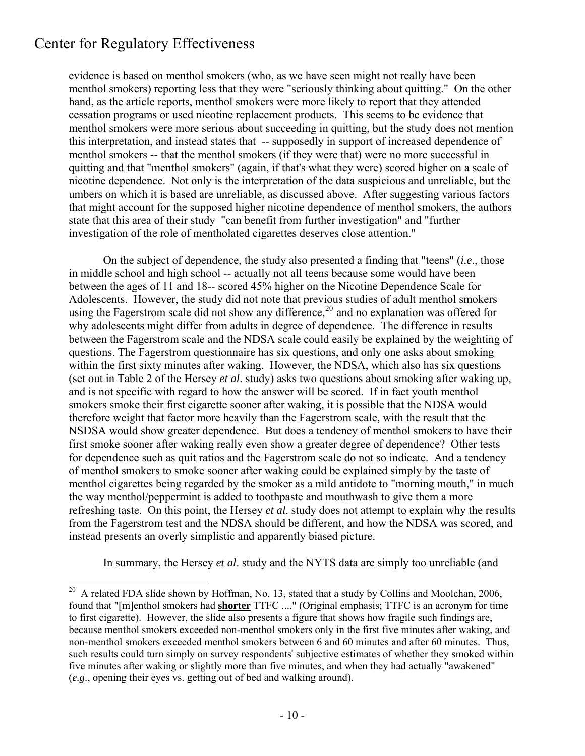1

evidence is based on menthol smokers (who, as we have seen might not really have been menthol smokers) reporting less that they were "seriously thinking about quitting." On the other hand, as the article reports, menthol smokers were more likely to report that they attended cessation programs or used nicotine replacement products. This seems to be evidence that menthol smokers were more serious about succeeding in quitting, but the study does not mention this interpretation, and instead states that -- supposedly in support of increased dependence of menthol smokers -- that the menthol smokers (if they were that) were no more successful in quitting and that "menthol smokers" (again, if that's what they were) scored higher on a scale of nicotine dependence. Not only is the interpretation of the data suspicious and unreliable, but the umbers on which it is based are unreliable, as discussed above. After suggesting various factors that might account for the supposed higher nicotine dependence of menthol smokers, the authors state that this area of their study "can benefit from further investigation" and "further investigation of the role of mentholated cigarettes deserves close attention."

 On the subject of dependence, the study also presented a finding that "teens" (*i.e*., those in middle school and high school -- actually not all teens because some would have been between the ages of 11 and 18-- scored 45% higher on the Nicotine Dependence Scale for Adolescents. However, the study did not note that previous studies of adult menthol smokers using the Fagerstrom scale did not show any difference,<sup>[20](#page-9-0)</sup> and no explanation was offered for why adolescents might differ from adults in degree of dependence. The difference in results between the Fagerstrom scale and the NDSA scale could easily be explained by the weighting of questions. The Fagerstrom questionnaire has six questions, and only one asks about smoking within the first sixty minutes after waking. However, the NDSA, which also has six questions (set out in Table 2 of the Hersey *et al*. study) asks two questions about smoking after waking up, and is not specific with regard to how the answer will be scored. If in fact youth menthol smokers smoke their first cigarette sooner after waking, it is possible that the NDSA would therefore weight that factor more heavily than the Fagerstrom scale, with the result that the NSDSA would show greater dependence. But does a tendency of menthol smokers to have their first smoke sooner after waking really even show a greater degree of dependence? Other tests for dependence such as quit ratios and the Fagerstrom scale do not so indicate. And a tendency of menthol smokers to smoke sooner after waking could be explained simply by the taste of menthol cigarettes being regarded by the smoker as a mild antidote to "morning mouth," in much the way menthol/peppermint is added to toothpaste and mouthwash to give them a more refreshing taste. On this point, the Hersey *et al*. study does not attempt to explain why the results from the Fagerstrom test and the NDSA should be different, and how the NDSA was scored, and instead presents an overly simplistic and apparently biased picture.

In summary, the Hersey *et al*. study and the NYTS data are simply too unreliable (and

<span id="page-9-0"></span> $^{20}$  A related FDA slide shown by Hoffman, No. 13, stated that a study by Collins and Moolchan, 2006, found that "[m]enthol smokers had **shorter** TTFC ...." (Original emphasis; TTFC is an acronym for time to first cigarette). However, the slide also presents a figure that shows how fragile such findings are, because menthol smokers exceeded non-menthol smokers only in the first five minutes after waking, and non-menthol smokers exceeded menthol smokers between 6 and 60 minutes and after 60 minutes. Thus, such results could turn simply on survey respondents' subjective estimates of whether they smoked within five minutes after waking or slightly more than five minutes, and when they had actually "awakened" (*e.g*., opening their eyes vs. getting out of bed and walking around).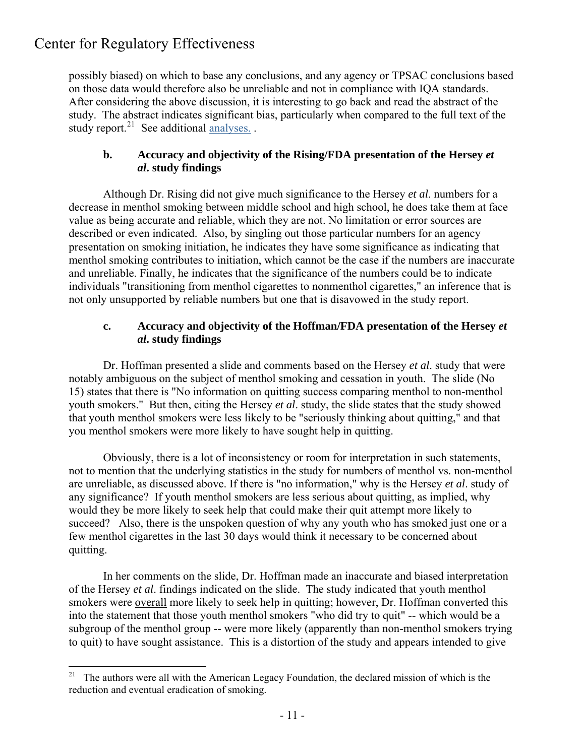$\overline{a}$ 

possibly biased) on which to base any conclusions, and any agency or TPSAC conclusions based on those data would therefore also be unreliable and not in compliance with IQA standards. After considering the above discussion, it is interesting to go back and read the abstract of the study. The abstract indicates significant bias, particularly when compared to the full text of the study report.<sup>[21](#page-10-0)</sup> See additional analyses.

### **b. Accuracy and objectivity of the Rising/FDA presentation of the Hersey** *et**al***. study findings**

Although Dr. Rising did not give much significance to the Hersey *et al*. numbers for a decrease in menthol smoking between middle school and high school, he does take them at face value as being accurate and reliable, which they are not. No limitation or error sources are described or even indicated. Also, by singling out those particular numbers for an agency presentation on smoking initiation, he indicates they have some significance as indicating that menthol smoking contributes to initiation, which cannot be the case if the numbers are inaccurate and unreliable. Finally, he indicates that the significance of the numbers could be to indicate individuals "transitioning from menthol cigarettes to nonmenthol cigarettes," an inference that is not only unsupported by reliable numbers but one that is disavowed in the study report.

### **c. Accuracy and objectivity of the Hoffman/FDA presentation of the Hersey** *et* *al***. study findings**

 Dr. Hoffman presented a slide and comments based on the Hersey *et al*. study that were notably ambiguous on the subject of menthol smoking and cessation in youth. The slide (No 15) states that there is "No information on quitting success comparing menthol to non-menthol youth smokers." But then, citing the Hersey *et al*. study, the slide states that the study showed that youth menthol smokers were less likely to be "seriously thinking about quitting," and that you menthol smokers were more likely to have sought help in quitting.

 Obviously, there is a lot of inconsistency or room for interpretation in such statements, not to mention that the underlying statistics in the study for numbers of menthol vs. non-menthol are unreliable, as discussed above. If there is "no information," why is the Hersey *et al*. study of any significance? If youth menthol smokers are less serious about quitting, as implied, why would they be more likely to seek help that could make their quit attempt more likely to succeed? Also, there is the unspoken question of why any youth who has smoked just one or a few menthol cigarettes in the last 30 days would think it necessary to be concerned about quitting.

 In her comments on the slide, Dr. Hoffman made an inaccurate and biased interpretation of the Hersey *et al*. findings indicated on the slide. The study indicated that youth menthol smokers were overall more likely to seek help in quitting; however, Dr. Hoffman converted this into the statement that those youth menthol smokers "who did try to quit" -- which would be a subgroup of the menthol group -- were more likely (apparently than non-menthol smokers trying to quit) to have sought assistance. This is a distortion of the study and appears intended to give

<span id="page-10-0"></span><sup>&</sup>lt;sup>21</sup> The authors were all with the American Legacy Foundation, the declared mission of which is the reduction and eventual eradication of smoking.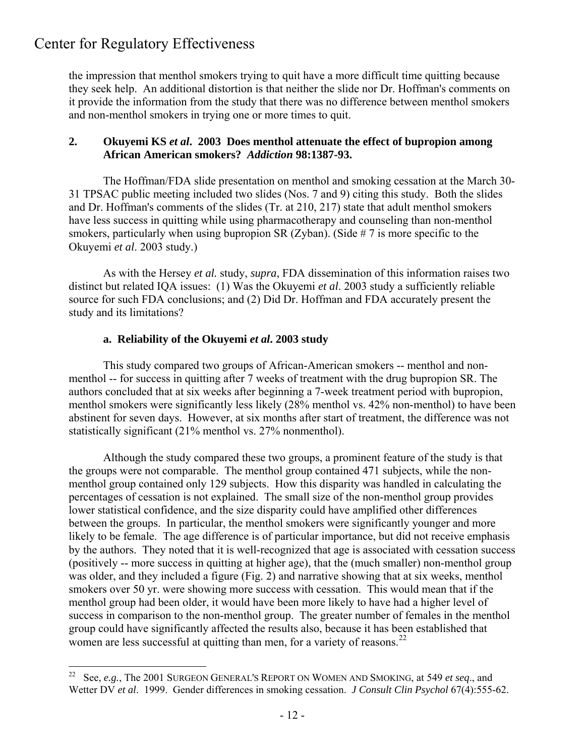$\overline{a}$ 

the impression that menthol smokers trying to quit have a more difficult time quitting because they seek help. An additional distortion is that neither the slide nor Dr. Hoffman's comments on it provide the information from the study that there was no difference between menthol smokers and non-menthol smokers in trying one or more times to quit.

### **2. Okuyemi KS** *et al***. 2003 Does menthol attenuate the effect of bupropion among African American smokers?** *Addiction* **98:1387-93.**

 The Hoffman/FDA slide presentation on menthol and smoking cessation at the March 30- 31 TPSAC public meeting included two slides (Nos. 7 and 9) citing this study. Both the slides and Dr. Hoffman's comments of the slides (Tr. at 210, 217) state that adult menthol smokers have less success in quitting while using pharmacotherapy and counseling than non-menthol smokers, particularly when using bupropion SR (Zyban). (Side  $# 7$  is more specific to the Okuyemi *et al*. 2003 study.)

 As with the Hersey *et al.* study, *supra*, FDA dissemination of this information raises two distinct but related IQA issues: (1) Was the Okuyemi *et al*. 2003 study a sufficiently reliable source for such FDA conclusions; and (2) Did Dr. Hoffman and FDA accurately present the study and its limitations?

### **a. Reliability of the Okuyemi** *et al***. 2003 study**

This study compared two groups of African-American smokers -- menthol and nonmenthol -- for success in quitting after 7 weeks of treatment with the drug bupropion SR. The authors concluded that at six weeks after beginning a 7-week treatment period with bupropion, menthol smokers were significantly less likely (28% menthol vs. 42% non-menthol) to have been abstinent for seven days. However, at six months after start of treatment, the difference was not statistically significant (21% menthol vs. 27% nonmenthol).

Although the study compared these two groups, a prominent feature of the study is that the groups were not comparable. The menthol group contained 471 subjects, while the nonmenthol group contained only 129 subjects. How this disparity was handled in calculating the percentages of cessation is not explained. The small size of the non-menthol group provides lower statistical confidence, and the size disparity could have amplified other differences between the groups. In particular, the menthol smokers were significantly younger and more likely to be female. The age difference is of particular importance, but did not receive emphasis by the authors. They noted that it is well-recognized that age is associated with cessation success (positively -- more success in quitting at higher age), that the (much smaller) non-menthol group was older, and they included a figure (Fig. 2) and narrative showing that at six weeks, menthol smokers over 50 yr. were showing more success with cessation. This would mean that if the menthol group had been older, it would have been more likely to have had a higher level of success in comparison to the non-menthol group. The greater number of females in the menthol group could have significantly affected the results also, because it has been established that women are less successful at quitting than men, for a variety of reasons.<sup>[22](#page-11-0)</sup>

<span id="page-11-0"></span><sup>&</sup>lt;sup>22</sup> See, *e.g.*, The 2001 SURGEON GENERAL'S REPORT ON WOMEN AND SMOKING, at 549 *et seq.*, and Wetter DV *et al*. 1999. Gender differences in smoking cessation. *J Consult Clin Psychol* 67(4):555-62.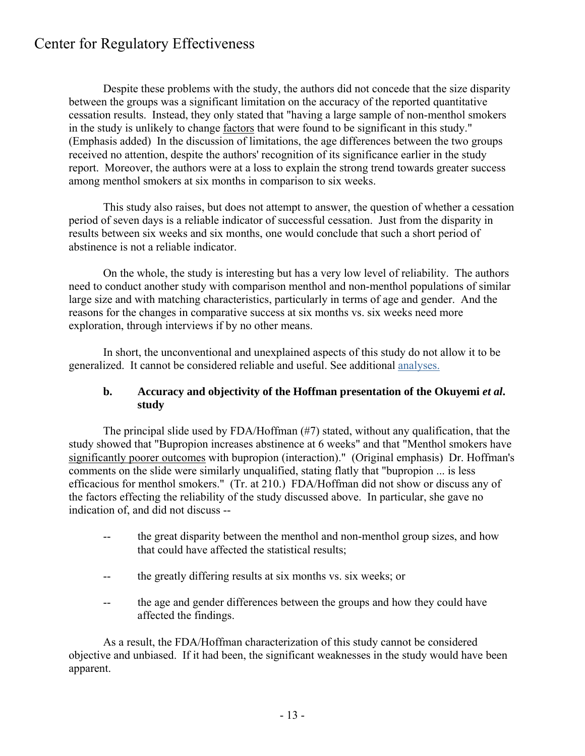Despite these problems with the study, the authors did not concede that the size disparity between the groups was a significant limitation on the accuracy of the reported quantitative cessation results. Instead, they only stated that "having a large sample of non-menthol smokers in the study is unlikely to change factors that were found to be significant in this study." (Emphasis added) In the discussion of limitations, the age differences between the two groups received no attention, despite the authors' recognition of its significance earlier in the study report. Moreover, the authors were at a loss to explain the strong trend towards greater success among menthol smokers at six months in comparison to six weeks.

 This study also raises, but does not attempt to answer, the question of whether a cessation period of seven days is a reliable indicator of successful cessation. Just from the disparity in results between six weeks and six months, one would conclude that such a short period of abstinence is not a reliable indicator.

 On the whole, the study is interesting but has a very low level of reliability. The authors need to conduct another study with comparison menthol and non-menthol populations of similar large size and with matching characteristics, particularly in terms of age and gender. And the reasons for the changes in comparative success at six months vs. six weeks need more exploration, through interviews if by no other means.

 In short, the unconventional and unexplained aspects of this study do not allow it to be generalized. It cannot be considered reliable and useful. See additional [analyses.](http://www.thecre.com/scur/?p=237)

### **b.** Accuracy and objectivity of the Hoffman presentation of the Okuvemi *et al*.  **study**

The principal slide used by FDA/Hoffman (#7) stated, without any qualification, that the study showed that "Bupropion increases abstinence at 6 weeks" and that "Menthol smokers have significantly poorer outcomes with bupropion (interaction)." (Original emphasis) Dr. Hoffman's comments on the slide were similarly unqualified, stating flatly that "bupropion ... is less efficacious for menthol smokers." (Tr. at 210.) FDA/Hoffman did not show or discuss any of the factors effecting the reliability of the study discussed above. In particular, she gave no indication of, and did not discuss --

- -- the great disparity between the menthol and non-menthol group sizes, and how that could have affected the statistical results;
- -- the greatly differing results at six months vs. six weeks; or
- -- the age and gender differences between the groups and how they could have affected the findings.

 As a result, the FDA/Hoffman characterization of this study cannot be considered objective and unbiased. If it had been, the significant weaknesses in the study would have been apparent.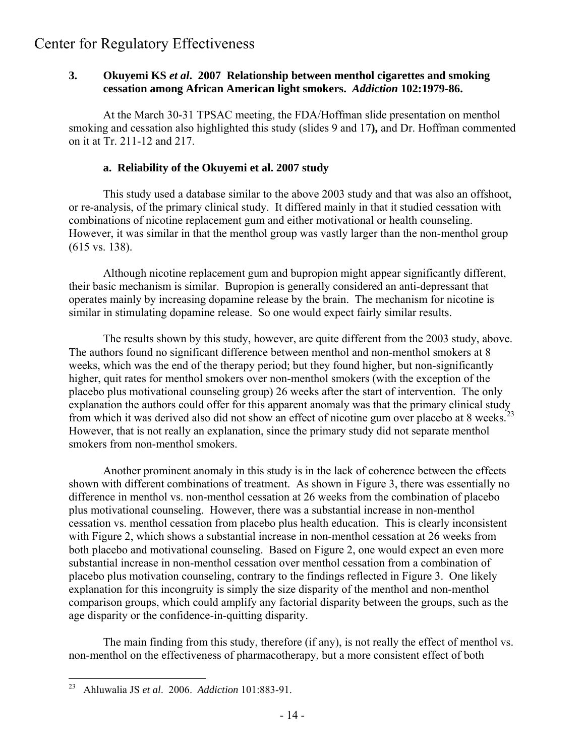### **3. Okuyemi KS** *et al***. 2007 Relationship between menthol cigarettes and smoking cessation among African American light smokers.** *Addiction* **102:1979-86.**

At the March 30-31 TPSAC meeting, the FDA/Hoffman slide presentation on menthol smoking and cessation also highlighted this study (slides 9 and 17**),** and Dr. Hoffman commented on it at Tr. 211-12 and 217.

### **a. Reliability of the Okuyemi et al. 2007 study**

 This study used a database similar to the above 2003 study and that was also an offshoot, or re-analysis, of the primary clinical study. It differed mainly in that it studied cessation with combinations of nicotine replacement gum and either motivational or health counseling. However, it was similar in that the menthol group was vastly larger than the non-menthol group (615 vs. 138).

 Although nicotine replacement gum and bupropion might appear significantly different, their basic mechanism is similar. Bupropion is generally considered an anti-depressant that operates mainly by increasing dopamine release by the brain. The mechanism for nicotine is similar in stimulating dopamine release. So one would expect fairly similar results.

 The results shown by this study, however, are quite different from the 2003 study, above. The authors found no significant difference between menthol and non-menthol smokers at 8 weeks, which was the end of the therapy period; but they found higher, but non-significantly higher, quit rates for menthol smokers over non-menthol smokers (with the exception of the placebo plus motivational counseling group) 26 weeks after the start of intervention. The only explanation the authors could offer for this apparent anomaly was that the primary clinical study from which it was derived also did not show an effect of nicotine gum over placebo at 8 weeks.<sup>[23](#page-13-0)</sup> However, that is not really an explanation, since the primary study did not separate menthol smokers from non-menthol smokers.

 Another prominent anomaly in this study is in the lack of coherence between the effects shown with different combinations of treatment. As shown in Figure 3, there was essentially no difference in menthol vs. non-menthol cessation at 26 weeks from the combination of placebo plus motivational counseling. However, there was a substantial increase in non-menthol cessation vs. menthol cessation from placebo plus health education. This is clearly inconsistent with Figure 2, which shows a substantial increase in non-menthol cessation at 26 weeks from both placebo and motivational counseling. Based on Figure 2, one would expect an even more substantial increase in non-menthol cessation over menthol cessation from a combination of placebo plus motivation counseling, contrary to the findings reflected in Figure 3. One likely explanation for this incongruity is simply the size disparity of the menthol and non-menthol comparison groups, which could amplify any factorial disparity between the groups, such as the age disparity or the confidence-in-quitting disparity.

 The main finding from this study, therefore (if any), is not really the effect of menthol vs. non-menthol on the effectiveness of pharmacotherapy, but a more consistent effect of both

<span id="page-13-0"></span><sup>23</sup> 23 Ahluwalia JS *et al*. 2006. *Addiction* 101:883-91.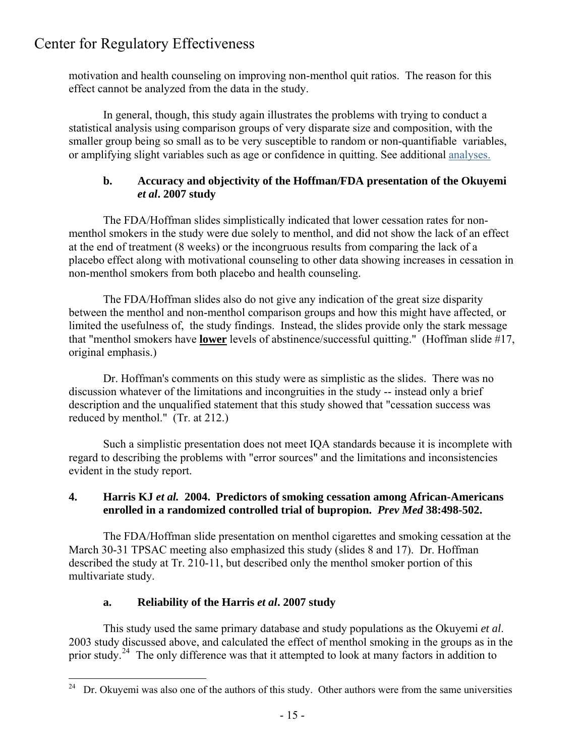motivation and health counseling on improving non-menthol quit ratios. The reason for this effect cannot be analyzed from the data in the study.

 In general, though, this study again illustrates the problems with trying to conduct a statistical analysis using comparison groups of very disparate size and composition, with the smaller group being so small as to be very susceptible to random or non-quantifiable variables, or amplifying slight variables such as age or confidence in quitting. See additional [analyses.](http://www.thecre.com/scur/?p=243)

### **b. Accuracy and objectivity of the Hoffman/FDA presentation of the Okuyemi** *et al***. 2007 study**

 The FDA/Hoffman slides simplistically indicated that lower cessation rates for nonmenthol smokers in the study were due solely to menthol, and did not show the lack of an effect at the end of treatment (8 weeks) or the incongruous results from comparing the lack of a placebo effect along with motivational counseling to other data showing increases in cessation in non-menthol smokers from both placebo and health counseling.

 The FDA/Hoffman slides also do not give any indication of the great size disparity between the menthol and non-menthol comparison groups and how this might have affected, or limited the usefulness of, the study findings. Instead, the slides provide only the stark message that "menthol smokers have **lower** levels of abstinence/successful quitting." (Hoffman slide #17, original emphasis.)

 Dr. Hoffman's comments on this study were as simplistic as the slides. There was no discussion whatever of the limitations and incongruities in the study -- instead only a brief description and the unqualified statement that this study showed that "cessation success was reduced by menthol." (Tr. at 212.)

 Such a simplistic presentation does not meet IQA standards because it is incomplete with regard to describing the problems with "error sources" and the limitations and inconsistencies evident in the study report.

### **4. Harris KJ** *et al.* **2004. Predictors of smoking cessation among African-Americans enrolled in a randomized controlled trial of bupropion.** *Prev Med* **38:498-502.**

 The FDA/Hoffman slide presentation on menthol cigarettes and smoking cessation at the March 30-31 TPSAC meeting also emphasized this study (slides 8 and 17). Dr. Hoffman described the study at Tr. 210-11, but described only the menthol smoker portion of this multivariate study.

## **a. Reliability of the Harris** *et al***. 2007 study**

This study used the same primary database and study populations as the Okuyemi *et al*. 2003 study discussed above, and calculated the effect of menthol smoking in the groups as in the prior study.<sup>[24](#page-14-0)</sup> The only difference was that it attempted to look at many factors in addition to

<span id="page-14-0"></span> $24\,$ Dr. Okuyemi was also one of the authors of this study. Other authors were from the same universities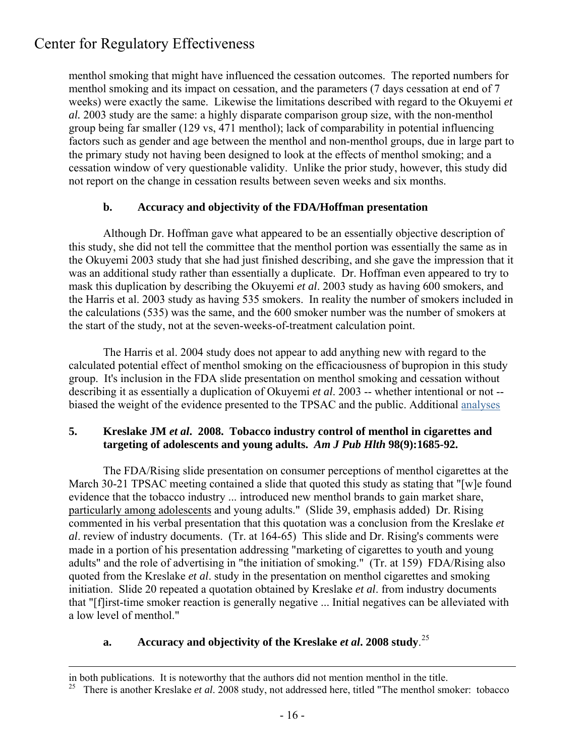menthol smoking that might have influenced the cessation outcomes. The reported numbers for menthol smoking and its impact on cessation, and the parameters (7 days cessation at end of 7 weeks) were exactly the same. Likewise the limitations described with regard to the Okuyemi *et al.* 2003 study are the same: a highly disparate comparison group size, with the non-menthol group being far smaller (129 vs, 471 menthol); lack of comparability in potential influencing factors such as gender and age between the menthol and non-menthol groups, due in large part to the primary study not having been designed to look at the effects of menthol smoking; and a cessation window of very questionable validity. Unlike the prior study, however, this study did not report on the change in cessation results between seven weeks and six months.

### **b. Accuracy and objectivity of the FDA/Hoffman presentation**

 Although Dr. Hoffman gave what appeared to be an essentially objective description of this study, she did not tell the committee that the menthol portion was essentially the same as in the Okuyemi 2003 study that she had just finished describing, and she gave the impression that it was an additional study rather than essentially a duplicate. Dr. Hoffman even appeared to try to mask this duplication by describing the Okuyemi *et al*. 2003 study as having 600 smokers, and the Harris et al. 2003 study as having 535 smokers. In reality the number of smokers included in the calculations (535) was the same, and the 600 smoker number was the number of smokers at the start of the study, not at the seven-weeks-of-treatment calculation point.

 The Harris et al. 2004 study does not appear to add anything new with regard to the calculated potential effect of menthol smoking on the efficaciousness of bupropion in this study group. It's inclusion in the FDA slide presentation on menthol smoking and cessation without describing it as essentially a duplication of Okuyemi *et al*. 2003 -- whether intentional or not - biased the weight of the evidence presented to the TPSAC and the public. Additional [analyses](http://www.thecre.com/scur/?p=253)

### **5. Kreslake JM** *et al***. 2008. Tobacco industry control of menthol in cigarettes and targeting of adolescents and young adults.** *Am J Pub Hlth* **98(9):1685-92.**

The FDA/Rising slide presentation on consumer perceptions of menthol cigarettes at the March 30-21 TPSAC meeting contained a slide that quoted this study as stating that "[w]e found evidence that the tobacco industry ... introduced new menthol brands to gain market share, particularly among adolescents and young adults." (Slide 39, emphasis added) Dr. Rising commented in his verbal presentation that this quotation was a conclusion from the Kreslake *et al*. review of industry documents. (Tr. at 164-65) This slide and Dr. Rising's comments were made in a portion of his presentation addressing "marketing of cigarettes to youth and young adults" and the role of advertising in "the initiation of smoking." (Tr. at 159) FDA/Rising also quoted from the Kreslake *et al*. study in the presentation on menthol cigarettes and smoking initiation. Slide 20 repeated a quotation obtained by Kreslake *et al*. from industry documents that "[f]irst-time smoker reaction is generally negative ... Initial negatives can be alleviated with a low level of menthol."

# **a. Accuracy and objectivity of the Kreslake** *et al***. 2008 study**. [25](#page-15-0)

 $\overline{a}$ 

in both publications. It is noteworthy that the authors did not mention menthol in the title.

<span id="page-15-0"></span><sup>&</sup>lt;sup>25</sup> There is another Kreslake *et al.* 2008 study, not addressed here, titled "The menthol smoker: tobacco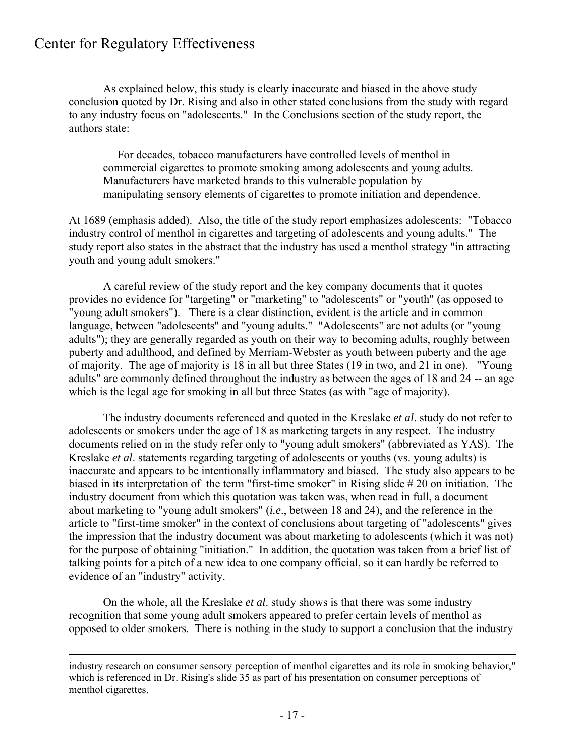$\overline{a}$ 

As explained below, this study is clearly inaccurate and biased in the above study conclusion quoted by Dr. Rising and also in other stated conclusions from the study with regard to any industry focus on "adolescents." In the Conclusions section of the study report, the authors state:

 For decades, tobacco manufacturers have controlled levels of menthol in commercial cigarettes to promote smoking among adolescents and young adults. Manufacturers have marketed brands to this vulnerable population by manipulating sensory elements of cigarettes to promote initiation and dependence.

At 1689 (emphasis added). Also, the title of the study report emphasizes adolescents: "Tobacco industry control of menthol in cigarettes and targeting of adolescents and young adults." The study report also states in the abstract that the industry has used a menthol strategy "in attracting youth and young adult smokers."

 A careful review of the study report and the key company documents that it quotes provides no evidence for "targeting" or "marketing" to "adolescents" or "youth" (as opposed to "young adult smokers"). There is a clear distinction, evident is the article and in common language, between "adolescents" and "young adults." "Adolescents" are not adults (or "young adults"); they are generally regarded as youth on their way to becoming adults, roughly between puberty and adulthood, and defined by Merriam-Webster as youth between puberty and the age of majority. The age of majority is 18 in all but three States (19 in two, and 21 in one). "Young adults" are commonly defined throughout the industry as between the ages of 18 and 24 -- an age which is the legal age for smoking in all but three States (as with "age of majority).

 The industry documents referenced and quoted in the Kreslake *et al*. study do not refer to adolescents or smokers under the age of 18 as marketing targets in any respect. The industry documents relied on in the study refer only to "young adult smokers" (abbreviated as YAS). The Kreslake *et al*. statements regarding targeting of adolescents or youths (vs. young adults) is inaccurate and appears to be intentionally inflammatory and biased. The study also appears to be biased in its interpretation of the term "first-time smoker" in Rising slide # 20 on initiation. The industry document from which this quotation was taken was, when read in full, a document about marketing to "young adult smokers" (*i.e*., between 18 and 24), and the reference in the article to "first-time smoker" in the context of conclusions about targeting of "adolescents" gives the impression that the industry document was about marketing to adolescents (which it was not) for the purpose of obtaining "initiation." In addition, the quotation was taken from a brief list of talking points for a pitch of a new idea to one company official, so it can hardly be referred to evidence of an "industry" activity.

 On the whole, all the Kreslake *et al*. study shows is that there was some industry recognition that some young adult smokers appeared to prefer certain levels of menthol as opposed to older smokers. There is nothing in the study to support a conclusion that the industry

industry research on consumer sensory perception of menthol cigarettes and its role in smoking behavior," which is referenced in Dr. Rising's slide 35 as part of his presentation on consumer perceptions of menthol cigarettes.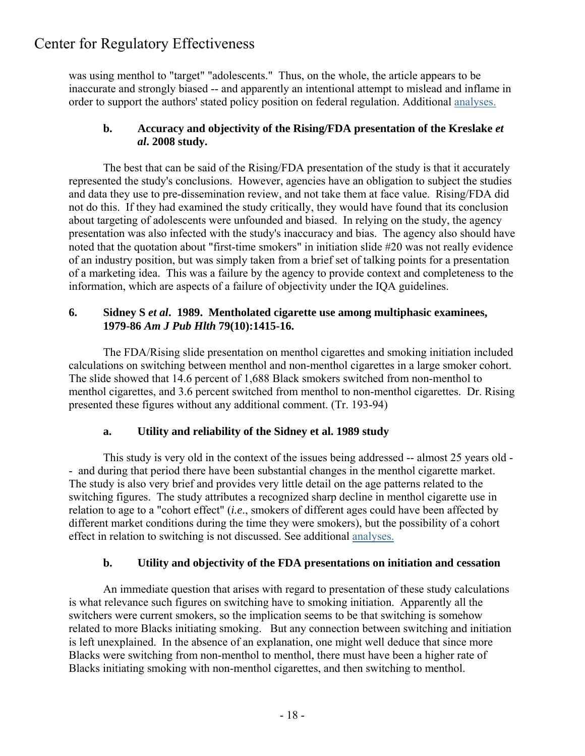was using menthol to "target" "adolescents." Thus, on the whole, the article appears to be inaccurate and strongly biased -- and apparently an intentional attempt to mislead and inflame in order to support the authors' stated policy position on federal regulation. Additional [analyses.](http://www.thecre.com/scur/?p=262)

### **b. Accuracy and objectivity of the Rising/FDA presentation of the Kreslake** *et al***. 2008 study.**

 The best that can be said of the Rising/FDA presentation of the study is that it accurately represented the study's conclusions. However, agencies have an obligation to subject the studies and data they use to pre-dissemination review, and not take them at face value. Rising/FDA did not do this. If they had examined the study critically, they would have found that its conclusion about targeting of adolescents were unfounded and biased. In relying on the study, the agency presentation was also infected with the study's inaccuracy and bias. The agency also should have noted that the quotation about "first-time smokers" in initiation slide #20 was not really evidence of an industry position, but was simply taken from a brief set of talking points for a presentation of a marketing idea. This was a failure by the agency to provide context and completeness to the information, which are aspects of a failure of objectivity under the IQA guidelines.

### **6. Sidney S** *et al***. 1989. Mentholated cigarette use among multiphasic examinees, 1979-86** *Am J Pub Hlth* **79(10):1415-16.**

 The FDA/Rising slide presentation on menthol cigarettes and smoking initiation included calculations on switching between menthol and non-menthol cigarettes in a large smoker cohort. The slide showed that 14.6 percent of 1,688 Black smokers switched from non-menthol to menthol cigarettes, and 3.6 percent switched from menthol to non-menthol cigarettes. Dr. Rising presented these figures without any additional comment. (Tr. 193-94)

## **a. Utility and reliability of the Sidney et al. 1989 study**

This study is very old in the context of the issues being addressed -- almost 25 years old - - and during that period there have been substantial changes in the menthol cigarette market. The study is also very brief and provides very little detail on the age patterns related to the switching figures. The study attributes a recognized sharp decline in menthol cigarette use in relation to age to a "cohort effect" (*i.e*., smokers of different ages could have been affected by different market conditions during the time they were smokers), but the possibility of a cohort effect in relation to switching is not discussed. See additional [analyses.](http://www.thecre.com/scur/?p=265)

## **b. Utility and objectivity of the FDA presentations on initiation and cessation**

 An immediate question that arises with regard to presentation of these study calculations is what relevance such figures on switching have to smoking initiation. Apparently all the switchers were current smokers, so the implication seems to be that switching is somehow related to more Blacks initiating smoking. But any connection between switching and initiation is left unexplained. In the absence of an explanation, one might well deduce that since more Blacks were switching from non-menthol to menthol, there must have been a higher rate of Blacks initiating smoking with non-menthol cigarettes, and then switching to menthol.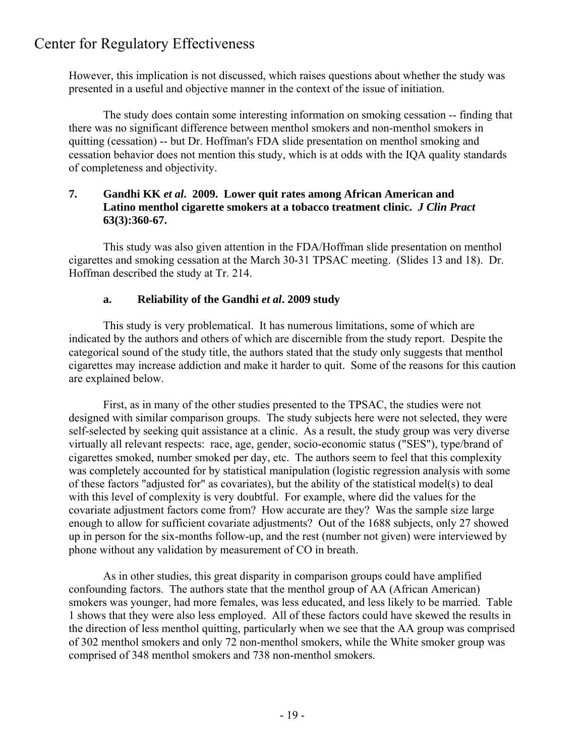However, this implication is not discussed, which raises questions about whether the study was presented in a useful and objective manner in the context of the issue of initiation.

 The study does contain some interesting information on smoking cessation -- finding that there was no significant difference between menthol smokers and non-menthol smokers in quitting (cessation) -- but Dr. Hoffman's FDA slide presentation on menthol smoking and cessation behavior does not mention this study, which is at odds with the IQA quality standards of completeness and objectivity.

### **7. Gandhi KK** *et al***. 2009. Lower quit rates among African American and Latino menthol cigarette smokers at a tobacco treatment clinic.** *J Clin Pract* **63(3):360-67.**

 This study was also given attention in the FDA/Hoffman slide presentation on menthol cigarettes and smoking cessation at the March 30-31 TPSAC meeting. (Slides 13 and 18). Dr. Hoffman described the study at Tr. 214.

### **a. Reliability of the Gandhi** *et al***. 2009 study**

 This study is very problematical. It has numerous limitations, some of which are indicated by the authors and others of which are discernible from the study report. Despite the categorical sound of the study title, the authors stated that the study only suggests that menthol cigarettes may increase addiction and make it harder to quit. Some of the reasons for this caution are explained below.

 First, as in many of the other studies presented to the TPSAC, the studies were not designed with similar comparison groups. The study subjects here were not selected, they were self-selected by seeking quit assistance at a clinic. As a result, the study group was very diverse virtually all relevant respects: race, age, gender, socio-economic status ("SES"), type/brand of cigarettes smoked, number smoked per day, etc. The authors seem to feel that this complexity was completely accounted for by statistical manipulation (logistic regression analysis with some of these factors "adjusted for" as covariates), but the ability of the statistical model(s) to deal with this level of complexity is very doubtful. For example, where did the values for the covariate adjustment factors come from? How accurate are they? Was the sample size large enough to allow for sufficient covariate adjustments? Out of the 1688 subjects, only 27 showed up in person for the six-months follow-up, and the rest (number not given) were interviewed by phone without any validation by measurement of CO in breath.

 As in other studies, this great disparity in comparison groups could have amplified confounding factors. The authors state that the menthol group of AA (African American) smokers was younger, had more females, was less educated, and less likely to be married. Table 1 shows that they were also less employed. All of these factors could have skewed the results in the direction of less menthol quitting, particularly when we see that the AA group was comprised of 302 menthol smokers and only 72 non-menthol smokers, while the White smoker group was comprised of 348 menthol smokers and 738 non-menthol smokers.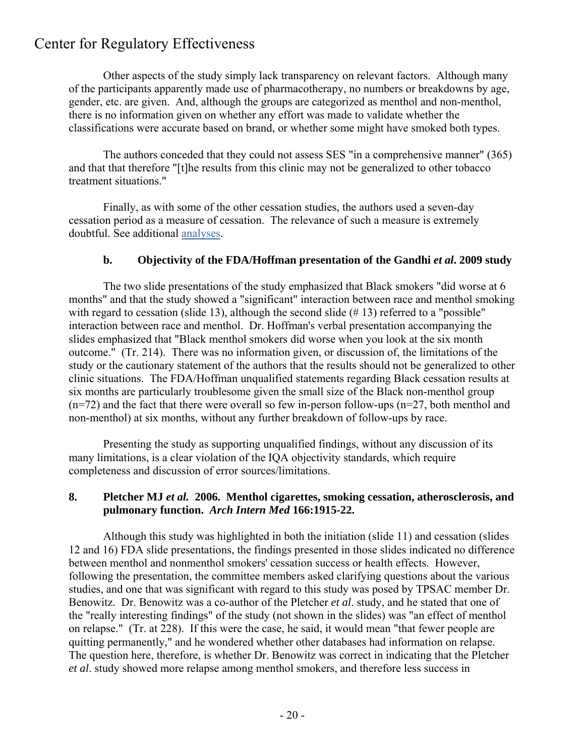Other aspects of the study simply lack transparency on relevant factors. Although many of the participants apparently made use of pharmacotherapy, no numbers or breakdowns by age, gender, etc. are given. And, although the groups are categorized as menthol and non-menthol, there is no information given on whether any effort was made to validate whether the classifications were accurate based on brand, or whether some might have smoked both types.

 The authors conceded that they could not assess SES "in a comprehensive manner" (365) and that that therefore "[t]he results from this clinic may not be generalized to other tobacco treatment situations."

 Finally, as with some of the other cessation studies, the authors used a seven-day cessation period as a measure of cessation. The relevance of such a measure is extremely doubtful. See additional [analyses.](http://www.thecre.com/scur/?p=269)

### **b.** Objectivity of the FDA/Hoffman presentation of the Gandhi *et al***.** 2009 study

 The two slide presentations of the study emphasized that Black smokers "did worse at 6 months" and that the study showed a "significant" interaction between race and menthol smoking with regard to cessation (slide 13), although the second slide (#13) referred to a "possible" interaction between race and menthol. Dr. Hoffman's verbal presentation accompanying the slides emphasized that "Black menthol smokers did worse when you look at the six month outcome." (Tr. 214). There was no information given, or discussion of, the limitations of the study or the cautionary statement of the authors that the results should not be generalized to other clinic situations. The FDA/Hoffman unqualified statements regarding Black cessation results at six months are particularly troublesome given the small size of the Black non-menthol group  $(n=72)$  and the fact that there were overall so few in-person follow-ups  $(n=27, \text{both method}$  and non-menthol) at six months, without any further breakdown of follow-ups by race.

 Presenting the study as supporting unqualified findings, without any discussion of its many limitations, is a clear violation of the IQA objectivity standards, which require completeness and discussion of error sources/limitations.

#### **8. Pletcher MJ** *et al.* **2006. Menthol cigarettes, smoking cessation, atherosclerosis, and pulmonary function.** *Arch Intern Med* **166:1915-22.**

 Although this study was highlighted in both the initiation (slide 11) and cessation (slides 12 and 16) FDA slide presentations, the findings presented in those slides indicated no difference between menthol and nonmenthol smokers' cessation success or health effects. However, following the presentation, the committee members asked clarifying questions about the various studies, and one that was significant with regard to this study was posed by TPSAC member Dr. Benowitz. Dr. Benowitz was a co-author of the Pletcher *et al*. study, and he stated that one of the "really interesting findings" of the study (not shown in the slides) was "an effect of menthol on relapse." (Tr. at 228). If this were the case, he said, it would mean "that fewer people are quitting permanently," and he wondered whether other databases had information on relapse. The question here, therefore, is whether Dr. Benowitz was correct in indicating that the Pletcher *et al*. study showed more relapse among menthol smokers, and therefore less success in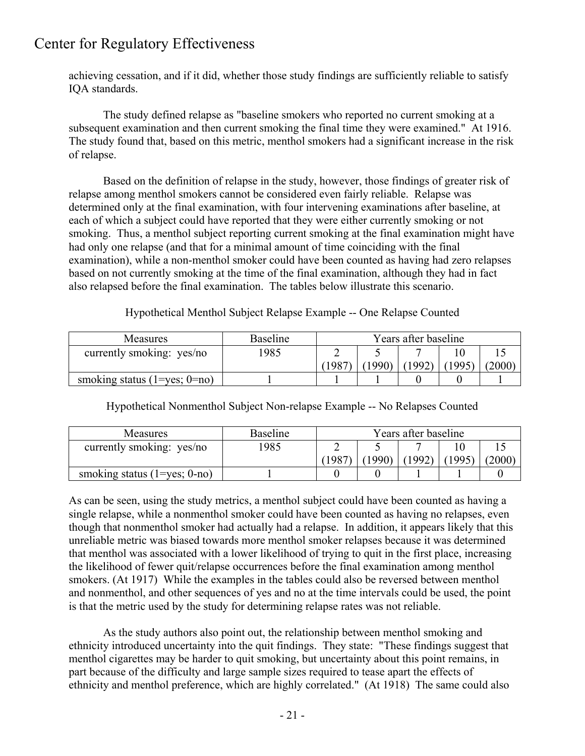achieving cessation, and if it did, whether those study findings are sufficiently reliable to satisfy IQA standards.

The study defined relapse as "baseline smokers who reported no current smoking at a subsequent examination and then current smoking the final time they were examined." At 1916. The study found that, based on this metric, menthol smokers had a significant increase in the risk of relapse.

 Based on the definition of relapse in the study, however, those findings of greater risk of relapse among menthol smokers cannot be considered even fairly reliable. Relapse was determined only at the final examination, with four intervening examinations after baseline, at each of which a subject could have reported that they were either currently smoking or not smoking. Thus, a menthol subject reporting current smoking at the final examination might have had only one relapse (and that for a minimal amount of time coinciding with the final examination), while a non-menthol smoker could have been counted as having had zero relapses based on not currently smoking at the time of the final examination, although they had in fact also relapsed before the final examination. The tables below illustrate this scenario.

### Hypothetical Menthol Subject Relapse Example -- One Relapse Counted

| <b>Measures</b>                    | <b>Baseline</b> | Years after baseline |      |       |      |        |  |  |
|------------------------------------|-----------------|----------------------|------|-------|------|--------|--|--|
| currently smoking: yes/no          | 1985            |                      |      |       |      |        |  |  |
|                                    |                 | 1987                 | 1990 | 1992) | 1995 | (2000) |  |  |
| smoking status $(1 = yes; 0 = no)$ |                 |                      |      |       |      |        |  |  |

| Measures                         | <b>Baseline</b> | Years after baseline |       |       |      |        |  |  |
|----------------------------------|-----------------|----------------------|-------|-------|------|--------|--|--|
| currently smoking: yes/no        | 1985            |                      |       |       |      |        |  |  |
|                                  |                 | (1987)               | 1990) | 1992) | 1995 | (2000) |  |  |
| smoking status $(1 = yes; 0-no)$ |                 |                      |       |       |      |        |  |  |

Hypothetical Nonmenthol Subject Non-relapse Example -- No Relapses Counted

As can be seen, using the study metrics, a menthol subject could have been counted as having a single relapse, while a nonmenthol smoker could have been counted as having no relapses, even though that nonmenthol smoker had actually had a relapse. In addition, it appears likely that this unreliable metric was biased towards more menthol smoker relapses because it was determined that menthol was associated with a lower likelihood of trying to quit in the first place, increasing the likelihood of fewer quit/relapse occurrences before the final examination among menthol smokers. (At 1917) While the examples in the tables could also be reversed between menthol and nonmenthol, and other sequences of yes and no at the time intervals could be used, the point is that the metric used by the study for determining relapse rates was not reliable.

 As the study authors also point out, the relationship between menthol smoking and ethnicity introduced uncertainty into the quit findings. They state: "These findings suggest that menthol cigarettes may be harder to quit smoking, but uncertainty about this point remains, in part because of the difficulty and large sample sizes required to tease apart the effects of ethnicity and menthol preference, which are highly correlated." (At 1918) The same could also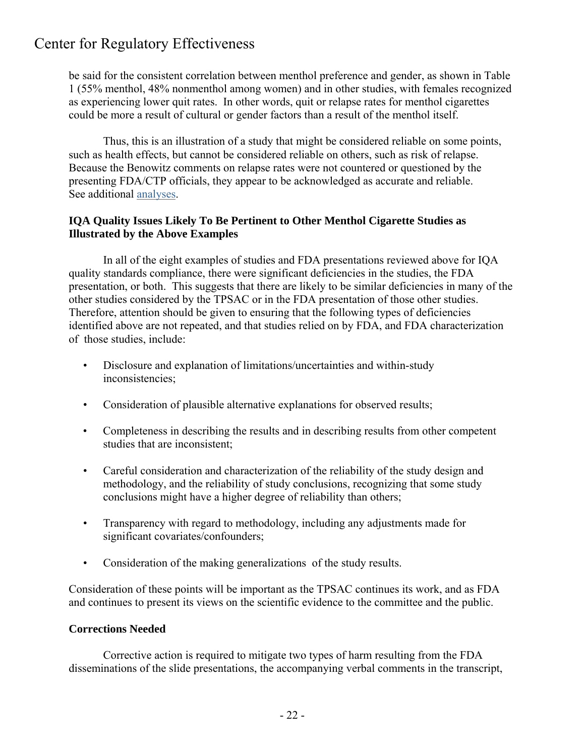be said for the consistent correlation between menthol preference and gender, as shown in Table 1 (55% menthol, 48% nonmenthol among women) and in other studies, with females recognized as experiencing lower quit rates. In other words, quit or relapse rates for menthol cigarettes could be more a result of cultural or gender factors than a result of the menthol itself.

 Thus, this is an illustration of a study that might be considered reliable on some points, such as health effects, but cannot be considered reliable on others, such as risk of relapse. Because the Benowitz comments on relapse rates were not countered or questioned by the presenting FDA/CTP officials, they appear to be acknowledged as accurate and reliable. See additional [analyses.](http://www.thecre.com/scur/?p=272)

### **IQA Quality Issues Likely To Be Pertinent to Other Menthol Cigarette Studies as Illustrated by the Above Examples**

In all of the eight examples of studies and FDA presentations reviewed above for IQA quality standards compliance, there were significant deficiencies in the studies, the FDA presentation, or both. This suggests that there are likely to be similar deficiencies in many of the other studies considered by the TPSAC or in the FDA presentation of those other studies. Therefore, attention should be given to ensuring that the following types of deficiencies identified above are not repeated, and that studies relied on by FDA, and FDA characterization of those studies, include:

- Disclosure and explanation of limitations/uncertainties and within-study inconsistencies;
- Consideration of plausible alternative explanations for observed results;
- Completeness in describing the results and in describing results from other competent studies that are inconsistent;
- Careful consideration and characterization of the reliability of the study design and methodology, and the reliability of study conclusions, recognizing that some study conclusions might have a higher degree of reliability than others;
- Transparency with regard to methodology, including any adjustments made for significant covariates/confounders;
- Consideration of the making generalizations of the study results.

Consideration of these points will be important as the TPSAC continues its work, and as FDA and continues to present its views on the scientific evidence to the committee and the public.

### **Corrections Needed**

Corrective action is required to mitigate two types of harm resulting from the FDA disseminations of the slide presentations, the accompanying verbal comments in the transcript,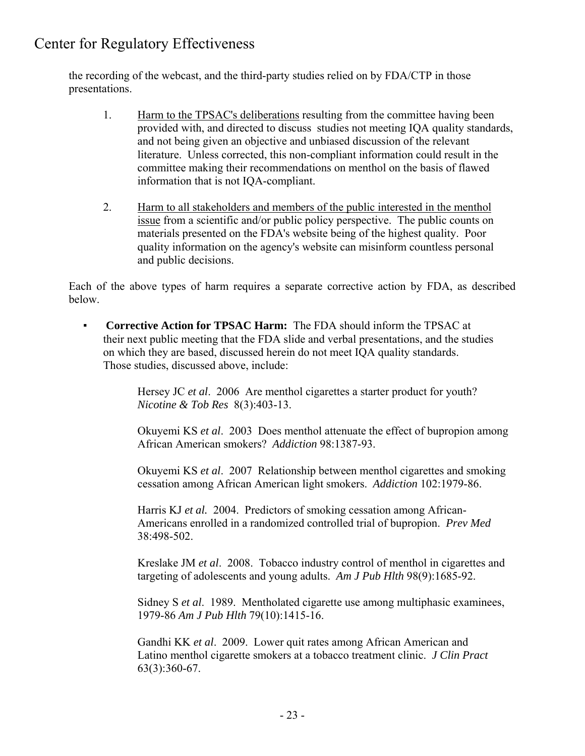the recording of the webcast, and the third-party studies relied on by FDA/CTP in those presentations.

- 1. Harm to the TPSAC's deliberations resulting from the committee having been provided with, and directed to discuss studies not meeting IQA quality standards, and not being given an objective and unbiased discussion of the relevant literature. Unless corrected, this non-compliant information could result in the committee making their recommendations on menthol on the basis of flawed information that is not IQA-compliant.
- 2. Harm to all stakeholders and members of the public interested in the menthol issue from a scientific and/or public policy perspective. The public counts on materials presented on the FDA's website being of the highest quality. Poor quality information on the agency's website can misinform countless personal and public decisions.

Each of the above types of harm requires a separate corrective action by FDA, as described below.

 ▪ **Corrective Action for TPSAC Harm:** The FDA should inform the TPSAC at their next public meeting that the FDA slide and verbal presentations, and the studies on which they are based, discussed herein do not meet IQA quality standards. Those studies, discussed above, include:

> Hersey JC *et al*. 2006 Are menthol cigarettes a starter product for youth? *Nicotine & Tob Res* 8(3):403-13.

 Okuyemi KS *et al*. 2003 Does menthol attenuate the effect of bupropion among African American smokers? *Addiction* 98:1387-93.

 Okuyemi KS *et al*. 2007 Relationship between menthol cigarettes and smoking cessation among African American light smokers. *Addiction* 102:1979-86.

 Harris KJ *et al.* 2004. Predictors of smoking cessation among African- Americans enrolled in a randomized controlled trial of bupropion. *Prev Med* 38:498-502.

 Kreslake JM *et al*. 2008. Tobacco industry control of menthol in cigarettes and targeting of adolescents and young adults. *Am J Pub Hlth* 98(9):1685-92.

 Sidney S *et al*. 1989. Mentholated cigarette use among multiphasic examinees, 1979-86 *Am J Pub Hlth* 79(10):1415-16.

 Gandhi KK *et al*. 2009. Lower quit rates among African American and Latino menthol cigarette smokers at a tobacco treatment clinic. *J Clin Pract* 63(3):360-67.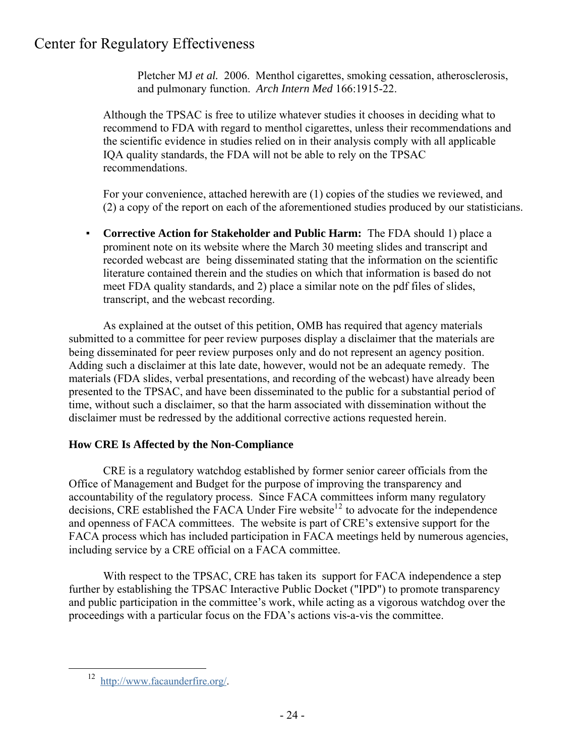Pletcher MJ *et al.* 2006. Menthol cigarettes, smoking cessation, atherosclerosis, and pulmonary function. *Arch Intern Med* 166:1915-22.

Although the TPSAC is free to utilize whatever studies it chooses in deciding what to recommend to FDA with regard to menthol cigarettes, unless their recommendations and the scientific evidence in studies relied on in their analysis comply with all applicable IQA quality standards, the FDA will not be able to rely on the TPSAC recommendations.

 For your convenience, attached herewith are (1) copies of the studies we reviewed, and (2) a copy of the report on each of the aforementioned studies produced by our statisticians.

 ▪ **Corrective Action for Stakeholder and Public Harm:** The FDA should 1) place a prominent note on its website where the March 30 meeting slides and transcript and recorded webcast are being disseminated stating that the information on the scientific literature contained therein and the studies on which that information is based do not meet FDA quality standards, and 2) place a similar note on the pdf files of slides, transcript, and the webcast recording.

 As explained at the outset of this petition, OMB has required that agency materials submitted to a committee for peer review purposes display a disclaimer that the materials are being disseminated for peer review purposes only and do not represent an agency position. Adding such a disclaimer at this late date, however, would not be an adequate remedy. The materials (FDA slides, verbal presentations, and recording of the webcast) have already been presented to the TPSAC, and have been disseminated to the public for a substantial period of time, without such a disclaimer, so that the harm associated with dissemination without the disclaimer must be redressed by the additional corrective actions requested herein.

## **How CRE Is Affected by the Non-Compliance**

 CRE is a regulatory watchdog established by former senior career officials from the Office of Management and Budget for the purpose of improving the transparency and accountability of the regulatory process. Since FACA committees inform many regulatory decisions, CRE established the FACA Under Fire website<sup>1[2](#page-23-0)</sup> to advocate for the independence and openness of FACA committees. The website is part of CRE's extensive support for the FACA process which has included participation in FACA meetings held by numerous agencies, including service by a CRE official on a FACA committee.

With respect to the TPSAC, CRE has taken its support for FACA independence a step further by establishing the TPSAC Interactive Public Docket ("IPD") to promote transparency and public participation in the committee's work, while acting as a vigorous watchdog over the proceedings with a particular focus on the FDA's actions vis-a-vis the committee.

<span id="page-23-0"></span> $\overline{a}$ 

12 <http://www.facaunderfire.org/>.